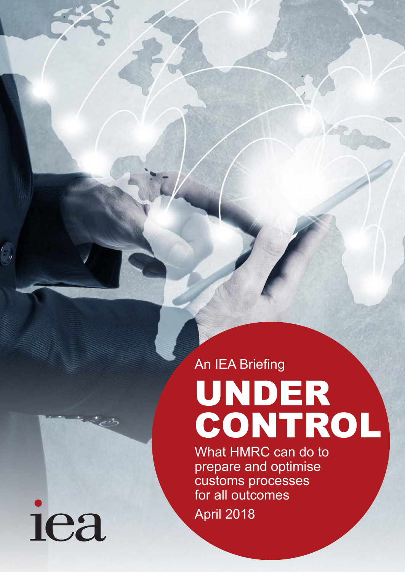An IEA Briefing

# UNDER CONTROL

What HMRC can do to prepare and optimise customs processes for all outcomes April 2018

iea

 $^{\prime}$  ,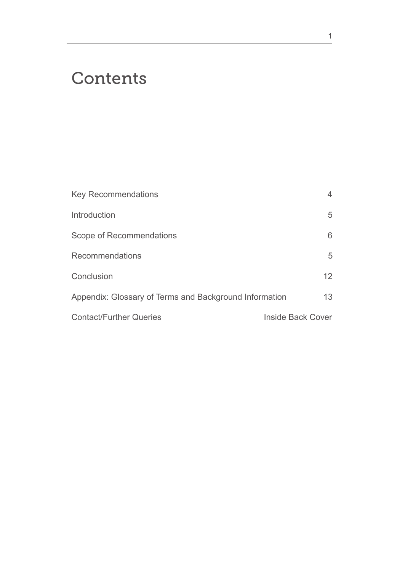# **Contents**

| <b>Key Recommendations</b>                             | 4                 |
|--------------------------------------------------------|-------------------|
| Introduction                                           | 5                 |
| Scope of Recommendations                               | 6                 |
| Recommendations                                        | 5                 |
| Conclusion                                             | 12                |
| Appendix: Glossary of Terms and Background Information | 13                |
| <b>Contact/Further Queries</b>                         | Inside Back Cover |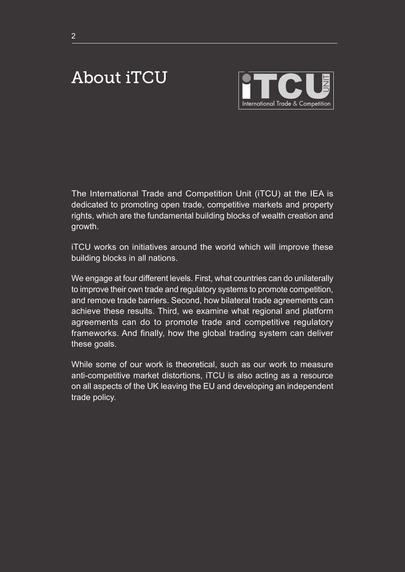# About iTCU



The International Trade and Competition Unit (iTCU) at the IEA is dedicated to promoting open trade, competitive markets and property rights, which are the fundamental building blocks of wealth creation and growth.

iTCU works on initiatives around the world which will improve these building blocks in all nations.

We engage at four different levels. First, what countries can do unilaterally to improve their own trade and regulatory systems to promote competition, and remove trade barriers. Second, how bilateral trade agreements can achieve these results. Third, we examine what regional and platform agreements can do to promote trade and competitive regulatory frameworks. And finally, how the global trading system can deliver these goals.

While some of our work is theoretical, such as our work to measure anti-competitive market distortions, iTCU is also acting as a resource on all aspects of the UK leaving the EU and developing an independent trade policy.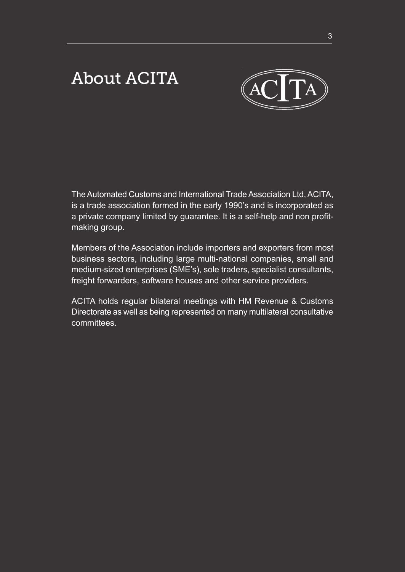# About ACITA



The Automated Customs and International Trade Association Ltd, ACITA, is a trade association formed in the early 1990's and is incorporated as a private company limited by guarantee. It is a self-help and non profitmaking group.

Members of the Association include importers and exporters from most business sectors, including large multi-national companies, small and medium-sized enterprises (SME's), sole traders, specialist consultants, freight forwarders, software houses and other service providers.

ACITA holds regular bilateral meetings with HM Revenue & Customs Directorate as well as being represented on many multilateral consultative committees.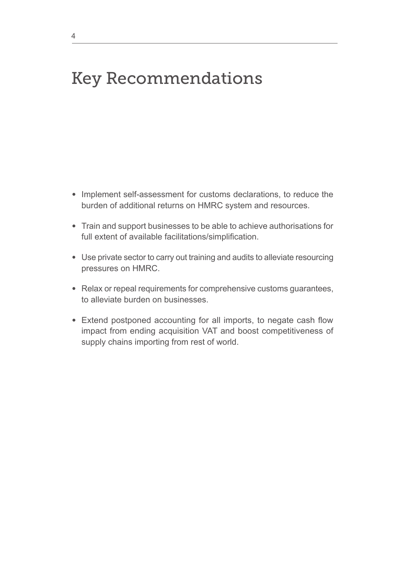# Key Recommendations

- Implement self-assessment for customs declarations, to reduce the burden of additional returns on HMRC system and resources.
- Train and support businesses to be able to achieve authorisations for full extent of available facilitations/simplification.
- Use private sector to carry out training and audits to alleviate resourcing pressures on HMRC.
- Relax or repeal requirements for comprehensive customs guarantees, to alleviate burden on businesses.
- Extend postponed accounting for all imports, to negate cash flow impact from ending acquisition VAT and boost competitiveness of supply chains importing from rest of world.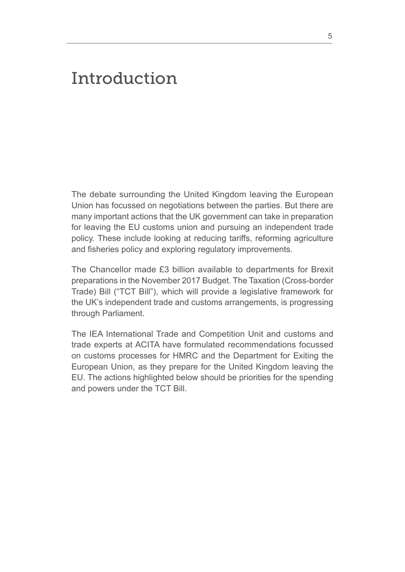# Introduction

The debate surrounding the United Kingdom leaving the European Union has focussed on negotiations between the parties. But there are many important actions that the UK government can take in preparation for leaving the EU customs union and pursuing an independent trade policy. These include looking at reducing tariffs, reforming agriculture and fisheries policy and exploring regulatory improvements.

The Chancellor made £3 billion available to departments for Brexit preparations in the November 2017 Budget. The Taxation (Cross-border Trade) Bill ("TCT Bill"), which will provide a legislative framework for the UK's independent trade and customs arrangements, is progressing through Parliament.

The IEA International Trade and Competition Unit and customs and trade experts at ACITA have formulated recommendations focussed on customs processes for HMRC and the Department for Exiting the European Union, as they prepare for the United Kingdom leaving the EU. The actions highlighted below should be priorities for the spending and powers under the TCT Bill.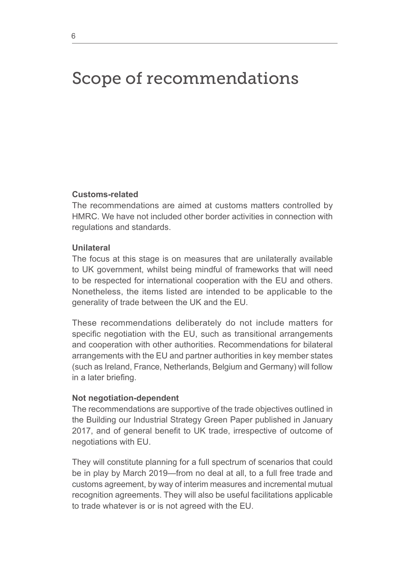# Scope of recommendations

## **Customs-related**

The recommendations are aimed at customs matters controlled by HMRC. We have not included other border activities in connection with regulations and standards.

#### **Unilateral**

The focus at this stage is on measures that are unilaterally available to UK government, whilst being mindful of frameworks that will need to be respected for international cooperation with the EU and others. Nonetheless, the items listed are intended to be applicable to the generality of trade between the UK and the EU.

These recommendations deliberately do not include matters for specific negotiation with the EU, such as transitional arrangements and cooperation with other authorities. Recommendations for bilateral arrangements with the EU and partner authorities in key member states (such as Ireland, France, Netherlands, Belgium and Germany) will follow in a later briefing.

#### **Not negotiation-dependent**

The recommendations are supportive of the trade objectives outlined in the Building our Industrial Strategy Green Paper published in January 2017, and of general benefit to UK trade, irrespective of outcome of negotiations with EU.

They will constitute planning for a full spectrum of scenarios that could be in play by March 2019—from no deal at all, to a full free trade and customs agreement, by way of interim measures and incremental mutual recognition agreements. They will also be useful facilitations applicable to trade whatever is or is not agreed with the EU.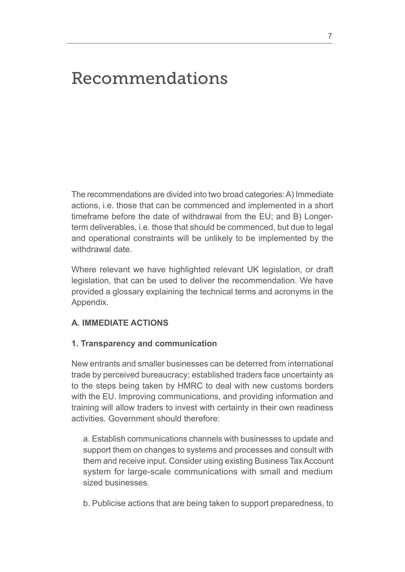# Recommendations

The recommendations are divided into two broad categories: A) Immediate actions, i.e. those that can be commenced and implemented in a short timeframe before the date of withdrawal from the EU; and B) Longerterm deliverables, i.e. those that should be commenced, but due to legal and operational constraints will be unlikely to be implemented by the withdrawal date.

Where relevant we have highlighted relevant UK legislation, or draft legislation, that can be used to deliver the recommendation. We have provided a glossary explaining the technical terms and acronyms in the Appendix.

# **A. IMMEDIATE ACTIONS**

## **1. Transparency and communication**

New entrants and smaller businesses can be deterred from international trade by perceived bureaucracy; established traders face uncertainty as to the steps being taken by HMRC to deal with new customs borders with the EU. Improving communications, and providing information and training will allow traders to invest with certainty in their own readiness activities. Government should therefore:

a. Establish communications channels with businesses to update and support them on changes to systems and processes and consult with them and receive input. Consider using existing Business Tax Account system for large-scale communications with small and medium sized businesses.

b. Publicise actions that are being taken to support preparedness, to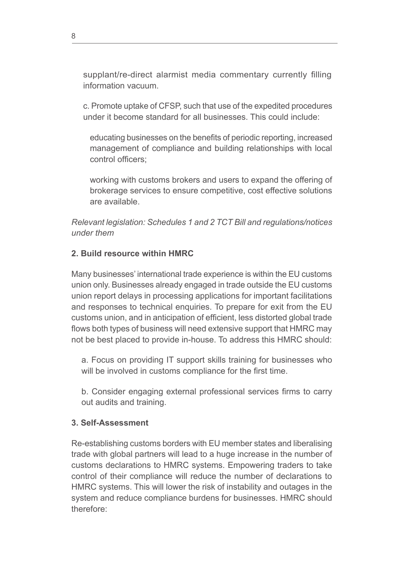supplant/re-direct alarmist media commentary currently filling information vacuum.

c. Promote uptake of CFSP, such that use of the expedited procedures under it become standard for all businesses. This could include:

 educating businesses on the benefits of periodic reporting, increased management of compliance and building relationships with local control officers;

 working with customs brokers and users to expand the offering of brokerage services to ensure competitive, cost effective solutions are available.

*Relevant legislation: Schedules 1 and 2 TCT Bill and regulations/notices under them*

# **2. Build resource within HMRC**

Many businesses' international trade experience is within the EU customs union only. Businesses already engaged in trade outside the EU customs union report delays in processing applications for important facilitations and responses to technical enquiries. To prepare for exit from the EU customs union, and in anticipation of efficient, less distorted global trade flows both types of business will need extensive support that HMRC may not be best placed to provide in-house. To address this HMRC should:

a. Focus on providing IT support skills training for businesses who will be involved in customs compliance for the first time.

b. Consider engaging external professional services firms to carry out audits and training.

# **3. Self-Assessment**

Re-establishing customs borders with EU member states and liberalising trade with global partners will lead to a huge increase in the number of customs declarations to HMRC systems. Empowering traders to take control of their compliance will reduce the number of declarations to HMRC systems. This will lower the risk of instability and outages in the system and reduce compliance burdens for businesses. HMRC should therefore: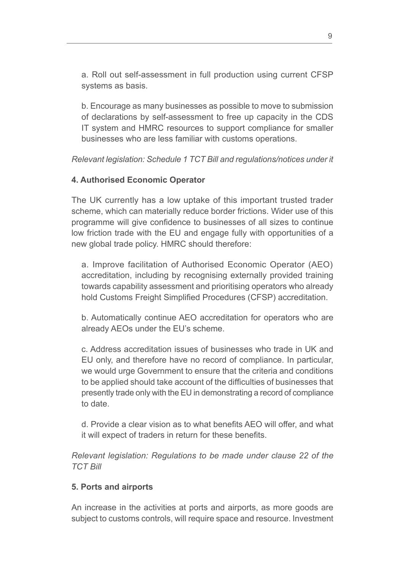a. Roll out self-assessment in full production using current CFSP systems as basis.

b. Encourage as many businesses as possible to move to submission of declarations by self-assessment to free up capacity in the CDS IT system and HMRC resources to support compliance for smaller businesses who are less familiar with customs operations.

*Relevant legislation: Schedule 1 TCT Bill and regulations/notices under it* 

# **4. Authorised Economic Operator**

The UK currently has a low uptake of this important trusted trader scheme, which can materially reduce border frictions. Wider use of this programme will give confidence to businesses of all sizes to continue low friction trade with the EU and engage fully with opportunities of a new global trade policy. HMRC should therefore:

a. Improve facilitation of Authorised Economic Operator (AEO) accreditation, including by recognising externally provided training towards capability assessment and prioritising operators who already hold Customs Freight Simplified Procedures (CFSP) accreditation.

b. Automatically continue AEO accreditation for operators who are already AEOs under the EU's scheme.

c. Address accreditation issues of businesses who trade in UK and EU only, and therefore have no record of compliance. In particular, we would urge Government to ensure that the criteria and conditions to be applied should take account of the difficulties of businesses that presently trade only with the EU in demonstrating a record of compliance to date.

d. Provide a clear vision as to what benefits AEO will offer, and what it will expect of traders in return for these benefits.

*Relevant legislation: Regulations to be made under clause 22 of the TCT Bill* 

# **5. Ports and airports**

An increase in the activities at ports and airports, as more goods are subject to customs controls, will require space and resource. Investment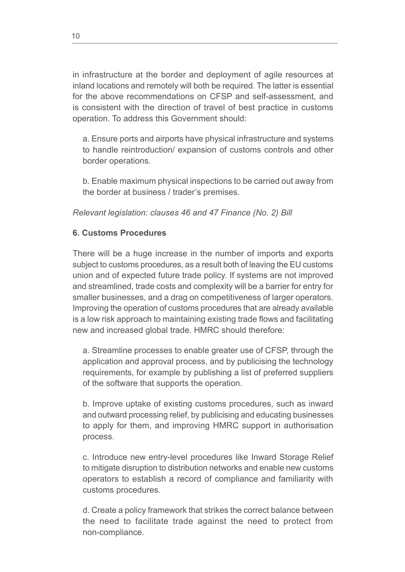in infrastructure at the border and deployment of agile resources at inland locations and remotely will both be required. The latter is essential for the above recommendations on CFSP and self-assessment, and is consistent with the direction of travel of best practice in customs operation. To address this Government should:

a. Ensure ports and airports have physical infrastructure and systems to handle reintroduction/ expansion of customs controls and other border operations.

b. Enable maximum physical inspections to be carried out away from the border at business / trader's premises.

*Relevant legislation: clauses 46 and 47 Finance (No. 2) Bill* 

# **6. Customs Procedures**

There will be a huge increase in the number of imports and exports subject to customs procedures, as a result both of leaving the EU customs union and of expected future trade policy. If systems are not improved and streamlined, trade costs and complexity will be a barrier for entry for smaller businesses, and a drag on competitiveness of larger operators. Improving the operation of customs procedures that are already available is a low risk approach to maintaining existing trade flows and facilitating new and increased global trade. HMRC should therefore:

a. Streamline processes to enable greater use of CFSP, through the application and approval process, and by publicising the technology requirements, for example by publishing a list of preferred suppliers of the software that supports the operation.

b. Improve uptake of existing customs procedures, such as inward and outward processing relief, by publicising and educating businesses to apply for them, and improving HMRC support in authorisation process.

c. Introduce new entry-level procedures like Inward Storage Relief to mitigate disruption to distribution networks and enable new customs operators to establish a record of compliance and familiarity with customs procedures.

d. Create a policy framework that strikes the correct balance between the need to facilitate trade against the need to protect from non-compliance.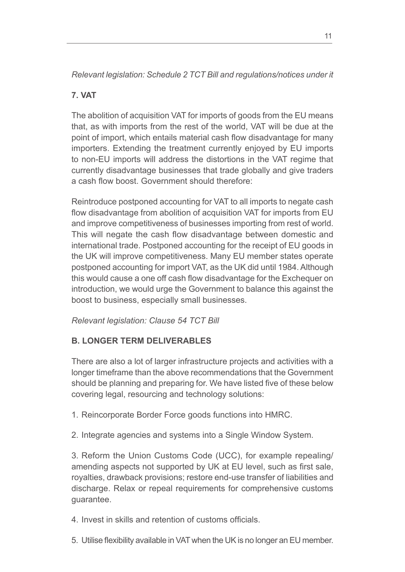*Relevant legislation: Schedule 2 TCT Bill and regulations/notices under it* 

# **7. VAT**

The abolition of acquisition VAT for imports of goods from the EU means that, as with imports from the rest of the world, VAT will be due at the point of import, which entails material cash flow disadvantage for many importers. Extending the treatment currently enjoyed by EU imports to non-EU imports will address the distortions in the VAT regime that currently disadvantage businesses that trade globally and give traders a cash flow boost. Government should therefore:

Reintroduce postponed accounting for VAT to all imports to negate cash flow disadvantage from abolition of acquisition VAT for imports from EU and improve competitiveness of businesses importing from rest of world. This will negate the cash flow disadvantage between domestic and international trade. Postponed accounting for the receipt of EU goods in the UK will improve competitiveness. Many EU member states operate postponed accounting for import VAT, as the UK did until 1984. Although this would cause a one off cash flow disadvantage for the Exchequer on introduction, we would urge the Government to balance this against the boost to business, especially small businesses.

*Relevant legislation: Clause 54 TCT Bill* 

# **B. LONGER TERM DELIVERABLES**

There are also a lot of larger infrastructure projects and activities with a longer timeframe than the above recommendations that the Government should be planning and preparing for. We have listed five of these below covering legal, resourcing and technology solutions:

1. Reincorporate Border Force goods functions into HMRC.

2. Integrate agencies and systems into a Single Window System.

3. Reform the Union Customs Code (UCC), for example repealing/ amending aspects not supported by UK at EU level, such as first sale, royalties, drawback provisions; restore end-use transfer of liabilities and discharge. Relax or repeal requirements for comprehensive customs guarantee.

4. Invest in skills and retention of customs officials.

5. Utilise flexibility available in VAT when the UK is no longer an EU member.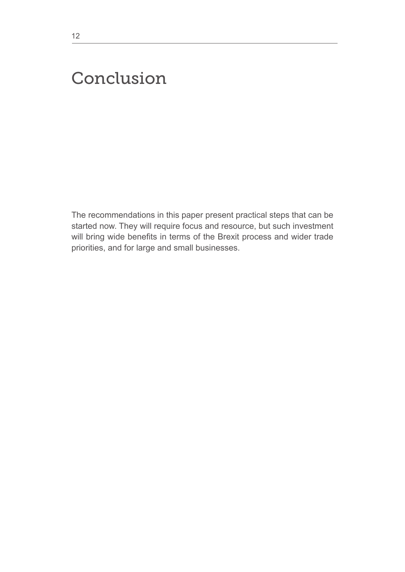# Conclusion

The recommendations in this paper present practical steps that can be started now. They will require focus and resource, but such investment will bring wide benefits in terms of the Brexit process and wider trade priorities, and for large and small businesses.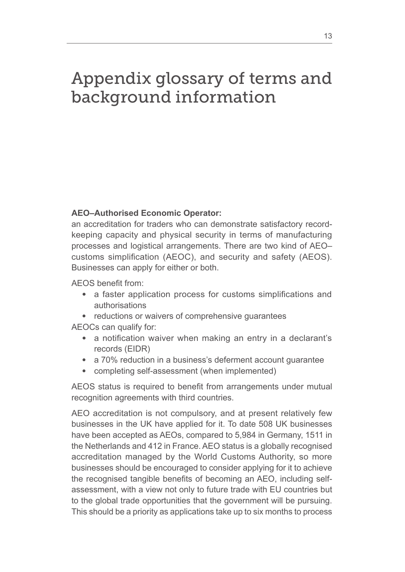# Appendix glossary of terms and background information

# **AEO–Authorised Economic Operator:**

an accreditation for traders who can demonstrate satisfactory recordkeeping capacity and physical security in terms of manufacturing processes and logistical arrangements. There are two kind of AEO– customs simplification (AEOC), and security and safety (AEOS). Businesses can apply for either or both.

AEOS benefit from:

- a faster application process for customs simplifications and authorisations
- reductions or waivers of comprehensive guarantees

AEOCs can qualify for:

- a notification waiver when making an entry in a declarant's records (EIDR)
- a 70% reduction in a business's deferment account guarantee
- completing self-assessment (when implemented)

AEOS status is required to benefit from arrangements under mutual recognition agreements with third countries.

AEO accreditation is not compulsory, and at present relatively few businesses in the UK have applied for it. To date 508 UK businesses have been accepted as AEOs, compared to 5,984 in Germany, 1511 in the Netherlands and 412 in France. AEO status is a globally recognised accreditation managed by the World Customs Authority, so more businesses should be encouraged to consider applying for it to achieve the recognised tangible benefits of becoming an AEO, including selfassessment, with a view not only to future trade with EU countries but to the global trade opportunities that the government will be pursuing. This should be a priority as applications take up to six months to process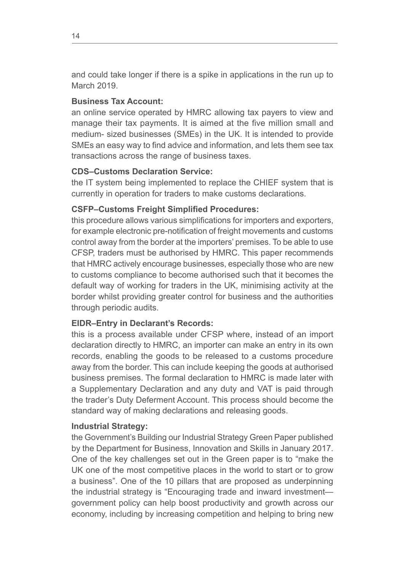and could take longer if there is a spike in applications in the run up to March 2019.

# **Business Tax Account:**

an online service operated by HMRC allowing tax payers to view and manage their tax payments. It is aimed at the five million small and medium- sized businesses (SMEs) in the UK. It is intended to provide SMEs an easy way to find advice and information, and lets them see tax transactions across the range of business taxes.

# **CDS–Customs Declaration Service:**

the IT system being implemented to replace the CHIEF system that is currently in operation for traders to make customs declarations.

# **CSFP–Customs Freight Simplified Procedures:**

this procedure allows various simplifications for importers and exporters, for example electronic pre-notification of freight movements and customs control away from the border at the importers' premises. To be able to use CFSP, traders must be authorised by HMRC. This paper recommends that HMRC actively encourage businesses, especially those who are new to customs compliance to become authorised such that it becomes the default way of working for traders in the UK, minimising activity at the border whilst providing greater control for business and the authorities through periodic audits.

# **EIDR–Entry in Declarant's Records:**

this is a process available under CFSP where, instead of an import declaration directly to HMRC, an importer can make an entry in its own records, enabling the goods to be released to a customs procedure away from the border. This can include keeping the goods at authorised business premises. The formal declaration to HMRC is made later with a Supplementary Declaration and any duty and VAT is paid through the trader's Duty Deferment Account. This process should become the standard way of making declarations and releasing goods.

# **Industrial Strategy:**

the Government's Building our Industrial Strategy Green Paper published by the Department for Business, Innovation and Skills in January 2017. One of the key challenges set out in the Green paper is to "make the UK one of the most competitive places in the world to start or to grow a business". One of the 10 pillars that are proposed as underpinning the industrial strategy is "Encouraging trade and inward investment government policy can help boost productivity and growth across our economy, including by increasing competition and helping to bring new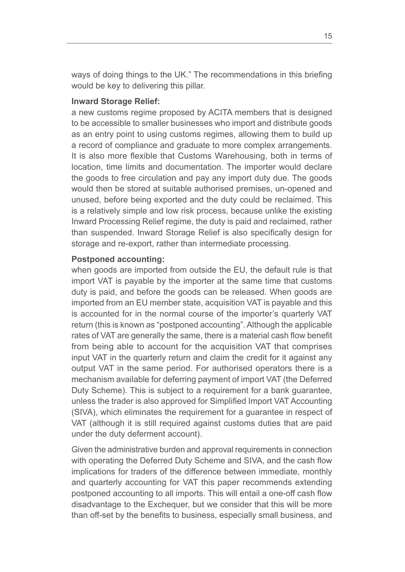ways of doing things to the UK." The recommendations in this briefing would be key to delivering this pillar.

## **Inward Storage Relief:**

a new customs regime proposed by ACITA members that is designed to be accessible to smaller businesses who import and distribute goods as an entry point to using customs regimes, allowing them to build up a record of compliance and graduate to more complex arrangements. It is also more flexible that Customs Warehousing, both in terms of location, time limits and documentation. The importer would declare the goods to free circulation and pay any import duty due. The goods would then be stored at suitable authorised premises, un-opened and unused, before being exported and the duty could be reclaimed. This is a relatively simple and low risk process, because unlike the existing Inward Processing Relief regime, the duty is paid and reclaimed, rather than suspended. Inward Storage Relief is also specifically design for storage and re-export, rather than intermediate processing.

#### **Postponed accounting:**

when goods are imported from outside the EU, the default rule is that import VAT is payable by the importer at the same time that customs duty is paid, and before the goods can be released. When goods are imported from an EU member state, acquisition VAT is payable and this is accounted for in the normal course of the importer's quarterly VAT return (this is known as "postponed accounting". Although the applicable rates of VAT are generally the same, there is a material cash flow benefit from being able to account for the acquisition VAT that comprises input VAT in the quarterly return and claim the credit for it against any output VAT in the same period. For authorised operators there is a mechanism available for deferring payment of import VAT (the Deferred Duty Scheme). This is subject to a requirement for a bank guarantee, unless the trader is also approved for Simplified Import VAT Accounting (SIVA), which eliminates the requirement for a guarantee in respect of VAT (although it is still required against customs duties that are paid under the duty deferment account).

Given the administrative burden and approval requirements in connection with operating the Deferred Duty Scheme and SIVA, and the cash flow implications for traders of the difference between immediate, monthly and quarterly accounting for VAT this paper recommends extending postponed accounting to all imports. This will entail a one-off cash flow disadvantage to the Exchequer, but we consider that this will be more than off-set by the benefits to business, especially small business, and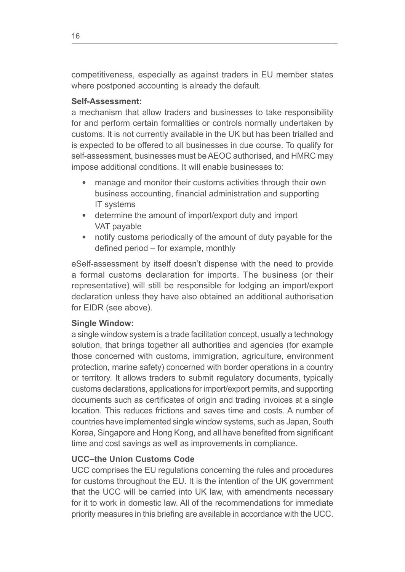competitiveness, especially as against traders in EU member states where postponed accounting is already the default.

## **Self-Assessment:**

a mechanism that allow traders and businesses to take responsibility for and perform certain formalities or controls normally undertaken by customs. It is not currently available in the UK but has been trialled and is expected to be offered to all businesses in due course. To qualify for self-assessment, businesses must be AEOC authorised, and HMRC may impose additional conditions. It will enable businesses to:

- manage and monitor their customs activities through their own business accounting, financial administration and supporting IT systems
- determine the amount of import/export duty and import VAT payable
- notify customs periodically of the amount of duty payable for the defined period – for example, monthly

eSelf-assessment by itself doesn't dispense with the need to provide a formal customs declaration for imports. The business (or their representative) will still be responsible for lodging an import/export declaration unless they have also obtained an additional authorisation for EIDR (see above).

# **Single Window:**

a single window system is a trade facilitation concept, usually a technology solution, that brings together all authorities and agencies (for example those concerned with customs, immigration, agriculture, environment protection, marine safety) concerned with border operations in a country or territory. It allows traders to submit regulatory documents, typically customs declarations, applications for import/export permits, and supporting documents such as certificates of origin and trading invoices at a single location. This reduces frictions and saves time and costs. A number of countries have implemented single window systems, such as Japan, South Korea, Singapore and Hong Kong, and all have benefited from significant time and cost savings as well as improvements in compliance.

# **UCC–the Union Customs Code**

UCC comprises the EU regulations concerning the rules and procedures for customs throughout the EU. It is the intention of the UK government that the UCC will be carried into UK law, with amendments necessary for it to work in domestic law. All of the recommendations for immediate priority measures in this briefing are available in accordance with the UCC.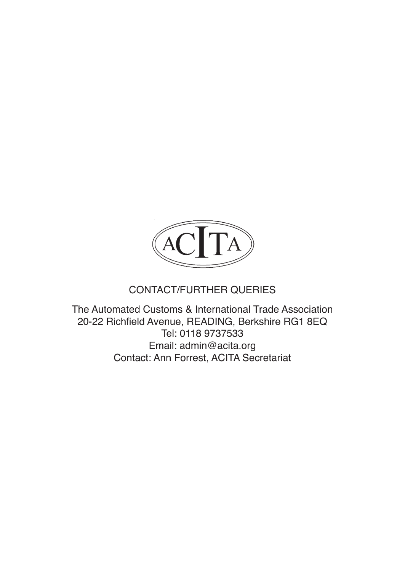

# CONTACT/FURTHER QUERIES

The Automated Customs & International Trade Association 20-22 Richfield Avenue, READING, Berkshire RG1 8EQ Tel: 0118 9737533 Email: admin@acita.org Contact: Ann Forrest, ACITA Secretariat